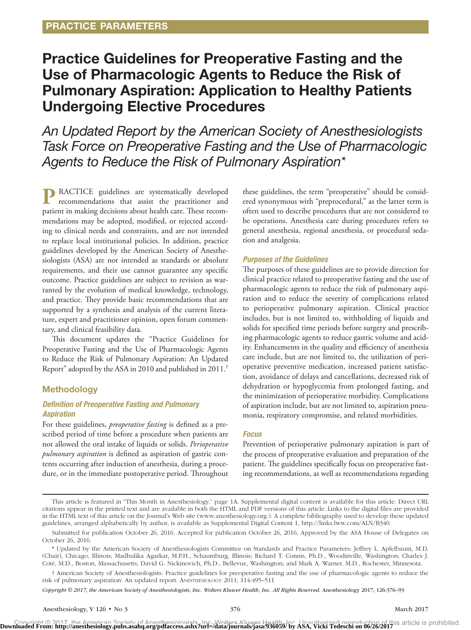# Practice Guidelines for Preoperative Fasting and the Use of Pharmacologic Agents to Reduce the Risk of Pulmonary Aspiration: Application to Healthy Patients Undergoing Elective Procedures

*An Updated Report by the American Society of Anesthesiologists Task Force on Preoperative Fasting and the Use of Pharmacologic Agents to Reduce the Risk of Pulmonary Aspiration\**

**P** RACTICE guidelines are systematically developed recommendations that assist the practitioner and patient in making decisions about health care. These recommendations may be adopted, modified, or rejected according to clinical needs and constraints, and are not intended to replace local institutional policies. In addition, practice guidelines developed by the American Society of Anesthesiologists (ASA) are not intended as standards or absolute requirements, and their use cannot guarantee any specific outcome. Practice guidelines are subject to revision as warranted by the evolution of medical knowledge, technology, and practice. They provide basic recommendations that are supported by a synthesis and analysis of the current literature, expert and practitioner opinion, open forum commentary, and clinical feasibility data.

This document updates the "Practice Guidelines for Preoperative Fasting and the Use of Pharmacologic Agents to Reduce the Risk of Pulmonary Aspiration: An Updated Report" adopted by the ASA in 2010 and published in 2011.†

## Methodology

## *Definition of Preoperative Fasting and Pulmonary Aspiration*

For these guidelines, *preoperative fasting* is defined as a prescribed period of time before a procedure when patients are not allowed the oral intake of liquids or solids. *Perioperative pulmonary aspiration* is defined as aspiration of gastric contents occurring after induction of anesthesia, during a procedure, or in the immediate postoperative period. Throughout these guidelines, the term "preoperative" should be considered synonymous with "preprocedural," as the latter term is often used to describe procedures that are not considered to be operations. Anesthesia care during procedures refers to general anesthesia, regional anesthesia, or procedural sedation and analgesia.

#### *Purposes of the Guidelines*

The purposes of these guidelines are to provide direction for clinical practice related to preoperative fasting and the use of pharmacologic agents to reduce the risk of pulmonary aspiration and to reduce the severity of complications related to perioperative pulmonary aspiration. Clinical practice includes, but is not limited to, withholding of liquids and solids for specified time periods before surgery and prescribing pharmacologic agents to reduce gastric volume and acidity. Enhancements in the quality and efficiency of anesthesia care include, but are not limited to, the utilization of perioperative preventive medication, increased patient satisfaction, avoidance of delays and cancellations, decreased risk of dehydration or hypoglycemia from prolonged fasting, and the minimization of perioperative morbidity. Complications of aspiration include, but are not limited to, aspiration pneumonia, respiratory compromise, and related morbidities.

#### *Focus*

Prevention of perioperative pulmonary aspiration is part of the process of preoperative evaluation and preparation of the patient. The guidelines specifically focus on preoperative fasting recommendations, as well as recommendations regarding

† American Society of Anesthesiologists: Practice guidelines for preoperative fasting and the use of pharmacologic agents to reduce the risk of pulmonary aspiration: An updated report. ANESTHESIOLOGY 2011; 114:495–511

*Copyright © 2017, the American Society of Anesthesiologists, Inc. Wolters Kluwer Health, Inc. All Rights Reserved.* Anesthesiology 2017; 126:376–93

This article is featured in "This Month in Anesthesiology," page 1A. Supplemental digital content is available for this article. Direct URL citations appear in the printed text and are available in both the HTML and PDF versions of this article. Links to the digital files are provided in the HTML text of this article on the Journal's Web site (www.anesthesiology.org.). A complete bibliography used to develop these updated guidelines, arranged alphabetically by author, is available as Supplemental Digital Content 1, http://links.lww.com/ALN/B340.

Submitted for publication October 26, 2016. Accepted for publication October 26, 2016. Approved by the ASA House of Delegates on October 26, 2016.

<sup>\*</sup> Updated by the American Society of Anesthesiologists Committee on Standards and Practice Parameters: Jeffrey L. Apfelbaum, M.D. (Chair), Chicago, Illinois; Madhulika Agarkar, M.P.H., Schaumburg, Illinois; Richard T. Connis, Ph.D., Woodinville, Washington; Charles J. Coté, M.D., Boston, Massachusetts; David G. Nickinovich, Ph.D., Bellevue, Washington; and Mark A. Warner, M.D., Rochester, Minnesota.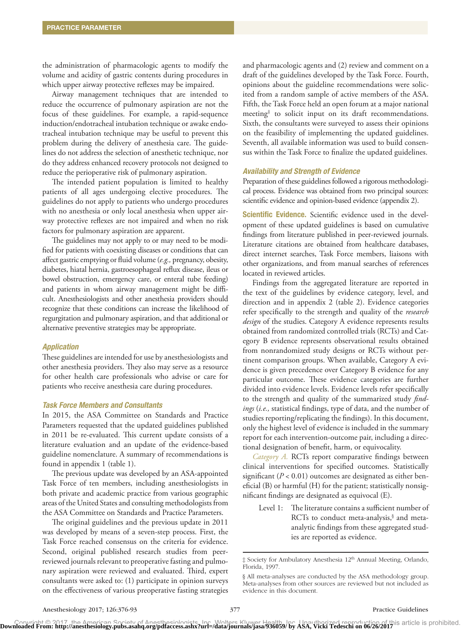the administration of pharmacologic agents to modify the volume and acidity of gastric contents during procedures in which upper airway protective reflexes may be impaired.

Airway management techniques that are intended to reduce the occurrence of pulmonary aspiration are not the focus of these guidelines. For example, a rapid-sequence induction/endotracheal intubation technique or awake endotracheal intubation technique may be useful to prevent this problem during the delivery of anesthesia care. The guidelines do not address the selection of anesthetic technique, nor do they address enhanced recovery protocols not designed to reduce the perioperative risk of pulmonary aspiration.

The intended patient population is limited to healthy patients of all ages undergoing elective procedures. The guidelines do not apply to patients who undergo procedures with no anesthesia or only local anesthesia when upper airway protective reflexes are not impaired and when no risk factors for pulmonary aspiration are apparent.

The guidelines may not apply to or may need to be modified for patients with coexisting diseases or conditions that can affect gastric emptying or fluid volume (*e.g.,* pregnancy, obesity, diabetes, hiatal hernia, gastroesophageal reflux disease, ileus or bowel obstruction, emergency care, or enteral tube feeding) and patients in whom airway management might be difficult. Anesthesiologists and other anesthesia providers should recognize that these conditions can increase the likelihood of regurgitation and pulmonary aspiration, and that additional or alternative preventive strategies may be appropriate.

#### *Application*

These guidelines are intended for use by anesthesiologists and other anesthesia providers. They also may serve as a resource for other health care professionals who advise or care for patients who receive anesthesia care during procedures.

#### *Task Force Members and Consultants*

In 2015, the ASA Committee on Standards and Practice Parameters requested that the updated guidelines published in 2011 be re-evaluated. This current update consists of a literature evaluation and an update of the evidence-based guideline nomenclature. A summary of recommendations is found in appendix 1 (table 1).

The previous update was developed by an ASA-appointed Task Force of ten members, including anesthesiologists in both private and academic practice from various geographic areas of the United States and consulting methodologists from the ASA Committee on Standards and Practice Parameters.

The original guidelines and the previous update in 2011 was developed by means of a seven-step process. First, the Task Force reached consensus on the criteria for evidence. Second, original published research studies from peerreviewed journals relevant to preoperative fasting and pulmonary aspiration were reviewed and evaluated. Third, expert consultants were asked to: (1) participate in opinion surveys on the effectiveness of various preoperative fasting strategies

and pharmacologic agents and (2) review and comment on a draft of the guidelines developed by the Task Force. Fourth, opinions about the guideline recommendations were solicited from a random sample of active members of the ASA. Fifth, the Task Force held an open forum at a major national meeting<sup>‡</sup> to solicit input on its draft recommendations. Sixth, the consultants were surveyed to assess their opinions on the feasibility of implementing the updated guidelines. Seventh, all available information was used to build consensus within the Task Force to finalize the updated guidelines.

#### *Availability and Strength of Evidence*

Preparation of these guidelines followed a rigorous methodological process. Evidence was obtained from two principal sources: scientific evidence and opinion-based evidence (appendix 2).

Scientific Evidence. Scientific evidence used in the development of these updated guidelines is based on cumulative findings from literature published in peer-reviewed journals. Literature citations are obtained from healthcare databases, direct internet searches, Task Force members, liaisons with other organizations, and from manual searches of references located in reviewed articles.

Findings from the aggregated literature are reported in the text of the guidelines by evidence category, level, and direction and in appendix 2 (table 2). Evidence categories refer specifically to the strength and quality of the *research design* of the studies. Category A evidence represents results obtained from randomized controlled trials (RCTs) and Category B evidence represents observational results obtained from nonrandomized study designs or RCTs without pertinent comparison groups. When available, Category A evidence is given precedence over Category B evidence for any particular outcome. These evidence categories are further divided into evidence levels. Evidence levels refer specifically to the strength and quality of the summarized study *findings* (*i.e.,* statistical findings, type of data, and the number of studies reporting/replicating the findings). In this document, only the highest level of evidence is included in the summary report for each intervention-outcome pair, including a directional designation of benefit, harm, or equivocality.

*Category A.* RCTs report comparative findings between clinical interventions for specified outcomes. Statistically significant  $(P < 0.01)$  outcomes are designated as either beneficial (B) or harmful (H) for the patient; statistically nonsignificant findings are designated as equivocal (E).

Level 1: The literature contains a sufficient number of RCTs to conduct meta-analysis,§ and metaanalytic findings from these aggregated studies are reported as evidence.

<sup>‡</sup> Society for Ambulatory Anesthesia 12th Annual Meeting, Orlando, Florida, 1997.

<sup>§</sup> All meta-analyses are conducted by the ASA methodology group. Meta-analyses from other sources are reviewed but not included as evidence in this document.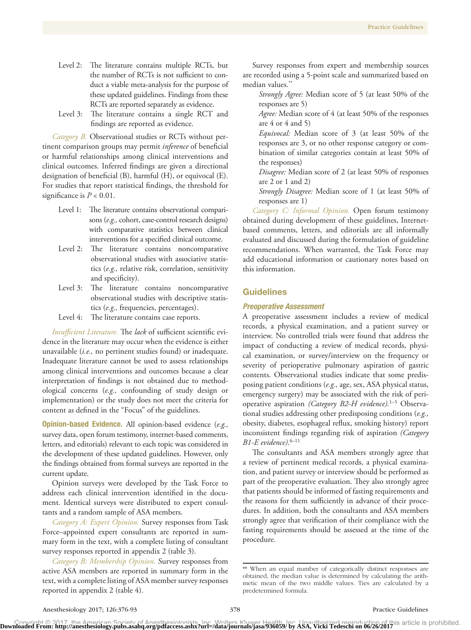- Level 2: The literature contains multiple RCTs, but the number of RCTs is not sufficient to conduct a viable meta-analysis for the purpose of these updated guidelines. Findings from these RCTs are reported separately as evidence.
- Level 3: The literature contains a single RCT and findings are reported as evidence.

*Category B.* Observational studies or RCTs without pertinent comparison groups may permit *inference* of beneficial or harmful relationships among clinical interventions and clinical outcomes. Inferred findings are given a directional designation of beneficial (B), harmful (H), or equivocal (E). For studies that report statistical findings, the threshold for significance is  $P < 0.01$ .

- Level 1: The literature contains observational comparisons (*e.g.,* cohort, case-control research designs) with comparative statistics between clinical interventions for a specified clinical outcome.
- Level 2: The literature contains noncomparative observational studies with associative statistics (*e.g.,* relative risk, correlation, sensitivity and specificity).
- Level 3: The literature contains noncomparative observational studies with descriptive statistics (*e.g.,* frequencies, percentages).
- Level 4: The literature contains case reports.

*Insufficient Literature.* The *lack* of sufficient scientific evidence in the literature may occur when the evidence is either unavailable (*i.e.,* no pertinent studies found) or inadequate. Inadequate literature cannot be used to assess relationships among clinical interventions and outcomes because a clear interpretation of findings is not obtained due to methodological concerns (*e.g.,* confounding of study design or implementation) or the study does not meet the criteria for content as defined in the "Focus" of the guidelines.

Opinion-based Evidence. All opinion-based evidence (*e.g.,* survey data, open forum testimony, internet-based comments, letters, and editorials) relevant to each topic was considered in the development of these updated guidelines. However, only the findings obtained from formal surveys are reported in the current update.

Opinion surveys were developed by the Task Force to address each clinical intervention identified in the document. Identical surveys were distributed to expert consultants and a random sample of ASA members.

*Category A: Expert Opinion.* Survey responses from Task Force–appointed expert consultants are reported in summary form in the text, with a complete listing of consultant survey responses reported in appendix 2 (table 3).

*Category B: Membership Opinion.* Survey responses from active ASA members are reported in summary form in the text, with a complete listing of ASA member survey responses reported in appendix 2 (table 4).

Survey responses from expert and membership sources are recorded using a 5-point scale and summarized based on median values.<sup>\*</sup>

- *Strongly Agree:* Median score of 5 (at least 50% of the responses are 5)
- *Agree:* Median score of 4 (at least 50% of the responses are 4 or 4 and 5)
- *Equivocal:* Median score of 3 (at least 50% of the responses are 3, or no other response category or combination of similar categories contain at least 50% of the responses)
- *Disagree:* Median score of 2 (at least 50% of responses are 2 or 1 and 2)
- *Strongly Disagree:* Median score of 1 (at least 50% of responses are 1)

*Category C: Informal Opinion.* Open forum testimony obtained during development of these guidelines, Internetbased comments, letters, and editorials are all informally evaluated and discussed during the formulation of guideline recommendations. When warranted, the Task Force may add educational information or cautionary notes based on this information.

## Guidelines

#### *Preoperative Assessment*

A preoperative assessment includes a review of medical records, a physical examination, and a patient survey or interview. No controlled trials were found that address the impact of conducting a review of medical records, physical examination, or survey/interview on the frequency or severity of perioperative pulmonary aspiration of gastric contents. Observational studies indicate that some predisposing patient conditions (*e.g.,* age, sex, ASA physical status, emergency surgery) may be associated with the risk of perioperative aspiration *(Category B2-H evidence).*1–5 Observational studies addressing other predisposing conditions (*e.g.,* obesity, diabetes, esophageal reflux, smoking history) report inconsistent findings regarding risk of aspiration *(Category B1-E evidence)*. 6–11

The consultants and ASA members strongly agree that a review of pertinent medical records, a physical examination, and patient survey or interview should be performed as part of the preoperative evaluation. They also strongly agree that patients should be informed of fasting requirements and the reasons for them sufficiently in advance of their procedures. In addition, both the consultants and ASA members strongly agree that verification of their compliance with the fasting requirements should be assessed at the time of the procedure.

<sup>\*\*</sup> When an equal number of categorically distinct responses are obtained, the median value is determined by calculating the arithmetic mean of the two middle values. Ties are calculated by a predetermined formula.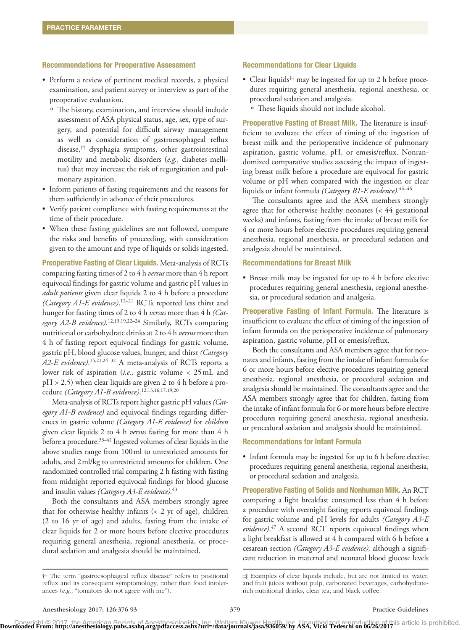## Recommendations for Preoperative Assessment

- Perform a review of pertinent medical records, a physical examination, and patient survey or interview as part of the preoperative evaluation.
	- º The history, examination, and interview should include assessment of ASA physical status, age, sex, type of surgery, and potential for difficult airway management as well as consideration of gastroesophageal reflux disease,†† dysphagia symptoms, other gastrointestinal motility and metabolic disorders (*e.g.,* diabetes mellitus) that may increase the risk of regurgitation and pulmonary aspiration.
- Inform patients of fasting requirements and the reasons for them sufficiently in advance of their procedures.
- Verify patient compliance with fasting requirements at the time of their procedure.
- When these fasting guidelines are not followed, compare the risks and benefits of proceeding, with consideration given to the amount and type of liquids or solids ingested.

Preoperative Fasting of Clear Liquids. Meta-analysis of RCTs comparing fasting times of 2 to 4 h *versus* more than 4 h report equivocal findings for gastric volume and gastric pH values in *adult patients* given clear liquids 2 to 4 h before a procedure *(Category A1-E evidence)*. 12–21 RCTs reported less thirst and hunger for fasting times of 2 to 4 h *versus* more than 4 h *(Category A2-B evidence)*. 12,13,19,22–24 Similarly, RCTs comparing nutritional or carbohydrate drinks at 2 to 4 h *versus* more than 4 h of fasting report equivocal findings for gastric volume, gastric pH, blood glucose values, hunger, and thirst *(Category A2-E evidence)*. 15,21,24–32 A meta-analysis of RCTs reports a lower risk of aspiration (*i.e.,* gastric volume < 25mL and pH > 2.5) when clear liquids are given 2 to 4 h before a procedure *(Category A1-B evidence)*. 12,13,16,17,19,20

Meta-analysis of RCTs report higher gastric pH values *(Category A1-B evidence)* and equivocal findings regarding differences in gastric volume *(Category A1-E evidence)* for *children* given clear liquids 2 to 4 h *versus* fasting for more than 4 h before a procedure.33–42 Ingested volumes of clear liquids in the above studies range from 100ml to unrestricted amounts for adults, and 2ml/kg to unrestricted amounts for children. One randomized controlled trial comparing 2 h fasting with fasting from midnight reported equivocal findings for blood glucose and insulin values *(Category A3-E evidence).*<sup>43</sup>

Both the consultants and ASA members strongly agree that for otherwise healthy infants (< 2 yr of age), children (2 to 16 yr of age) and adults, fasting from the intake of clear liquids for 2 or more hours before elective procedures requiring general anesthesia, regional anesthesia, or procedural sedation and analgesia should be maintained.

## Recommendations for Clear Liquids

- Clear liquids<sup>‡‡</sup> may be ingested for up to 2 h before procedures requiring general anesthesia, regional anesthesia, or procedural sedation and analgesia.
	- º These liquids should not include alcohol.

Preoperative Fasting of Breast Milk. The literature is insufficient to evaluate the effect of timing of the ingestion of breast milk and the perioperative incidence of pulmonary aspiration, gastric volume, pH, or emesis/reflux. Nonrandomized comparative studies assessing the impact of ingesting breast milk before a procedure are equivocal for gastric volume or pH when compared with the ingestion or clear liquids or infant formula *(Category B1-E evidence)*. 44–46

The consultants agree and the ASA members strongly agree that for otherwise healthy neonates (< 44 gestational weeks) and infants, fasting from the intake of breast milk for 4 or more hours before elective procedures requiring general anesthesia, regional anesthesia, or procedural sedation and analgesia should be maintained.

#### Recommendations for Breast Milk

• Breast milk may be ingested for up to 4 h before elective procedures requiring general anesthesia, regional anesthesia, or procedural sedation and analgesia.

Preoperative Fasting of Infant Formula. The literature is insufficient to evaluate the effect of timing of the ingestion of infant formula on the perioperative incidence of pulmonary aspiration, gastric volume, pH or emesis/reflux.

Both the consultants and ASA members agree that for neonates and infants, fasting from the intake of infant formula for 6 or more hours before elective procedures requiring general anesthesia, regional anesthesia, or procedural sedation and analgesia should be maintained. The consultants agree and the ASA members strongly agree that for children, fasting from the intake of infant formula for 6 or more hours before elective procedures requiring general anesthesia, regional anesthesia, or procedural sedation and analgesia should be maintained.

#### Recommendations for Infant Formula

• Infant formula may be ingested for up to 6 h before elective procedures requiring general anesthesia, regional anesthesia, or procedural sedation and analgesia.

Preoperative Fasting of Solids and Nonhuman Milk. An RCT comparing a light breakfast consumed less than 4 h before a procedure with overnight fasting reports equivocal findings for gastric volume and pH levels for adults *(Category A3-E evidence)*. 47 A second RCT reports equivocal findings when a light breakfast is allowed at 4 h compared with 6 h before a cesarean section *(Category A3-E evidence),* although a significant reduction in maternal and neonatal blood glucose levels

<sup>††</sup> The term "gastroesophageal reflux disease" refers to positional reflux and its consequent symptomology, rather than food intolerances (*e.g.,* "tomatoes do not agree with me").

<sup>‡‡</sup> Examples of clear liquids include, but are not limited to, water, and fruit juices without pulp, carbonated beverages, carbohydraterich nutritional drinks, clear tea, and black coffee.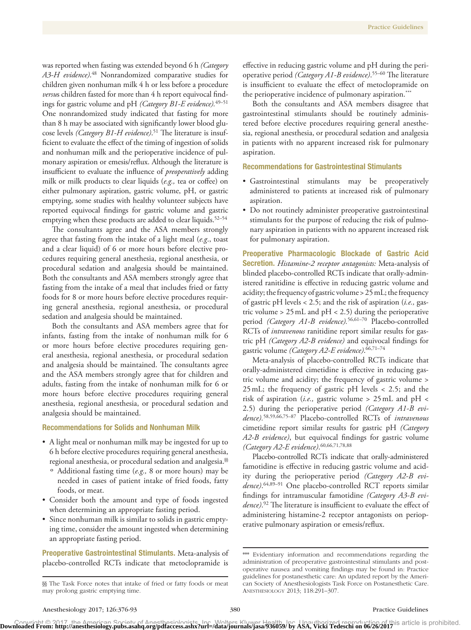was reported when fasting was extended beyond 6 h *(Category*  A3-H evidence).<sup>48</sup> Nonrandomized comparative studies for children given nonhuman milk 4 h or less before a procedure *versu*s children fasted for more than 4 h report equivocal findings for gastric volume and pH *(Category B1-E evidence).*49–51 One nonrandomized study indicated that fasting for more than 8 h may be associated with significantly lower blood glucose levels *(Category B1-H evidence)*. 51 The literature is insufficient to evaluate the effect of the timing of ingestion of solids and nonhuman milk and the perioperative incidence of pulmonary aspiration or emesis/reflux. Although the literature is insufficient to evaluate the influence of *preoperatively* adding milk or milk products to clear liquids (*e.g.,* tea or coffee) on either pulmonary aspiration, gastric volume, pH, or gastric emptying, some studies with healthy volunteer subjects have reported equivocal findings for gastric volume and gastric emptying when these products are added to clear liquids.<sup>52-54</sup>

The consultants agree and the ASA members strongly agree that fasting from the intake of a light meal (*e.g*., toast and a clear liquid) of 6 or more hours before elective procedures requiring general anesthesia, regional anesthesia, or procedural sedation and analgesia should be maintained. Both the consultants and ASA members strongly agree that fasting from the intake of a meal that includes fried or fatty foods for 8 or more hours before elective procedures requiring general anesthesia, regional anesthesia, or procedural sedation and analgesia should be maintained.

Both the consultants and ASA members agree that for infants, fasting from the intake of nonhuman milk for 6 or more hours before elective procedures requiring general anesthesia, regional anesthesia, or procedural sedation and analgesia should be maintained. The consultants agree and the ASA members strongly agree that for children and adults, fasting from the intake of nonhuman milk for 6 or more hours before elective procedures requiring general anesthesia, regional anesthesia, or procedural sedation and analgesia should be maintained.

## Recommendations for Solids and Nonhuman Milk

- A light meal or nonhuman milk may be ingested for up to 6 h before elective procedures requiring general anesthesia, regional anesthesia, or procedural sedation and analgesia.§§
	- º Additional fasting time (*e.g.,* 8 or more hours) may be needed in cases of patient intake of fried foods, fatty foods, or meat.
- Consider both the amount and type of foods ingested when determining an appropriate fasting period.
- Since nonhuman milk is similar to solids in gastric emptying time, consider the amount ingested when determining an appropriate fasting period.

Preoperative Gastrointestinal Stimulants. Meta-analysis of placebo-controlled RCTs indicate that metoclopramide is effective in reducing gastric volume and pH during the perioperative period *(Category A1-B evidence)*. 55–60 The literature is insufficient to evaluate the effect of metoclopramide on the perioperative incidence of pulmonary aspiration.\*\*\*

Both the consultants and ASA members disagree that gastrointestinal stimulants should be routinely administered before elective procedures requiring general anesthesia, regional anesthesia, or procedural sedation and analgesia in patients with no apparent increased risk for pulmonary aspiration.

Recommendations for Gastrointestinal Stimulants

- Gastrointestinal stimulants may be preoperatively administered to patients at increased risk of pulmonary aspiration.
- Do not routinely administer preoperative gastrointestinal stimulants for the purpose of reducing the risk of pulmonary aspiration in patients with no apparent increased risk for pulmonary aspiration.

Preoperative Pharmacologic Blockade of Gastric Acid Secretion. *Histamine-2 receptor antagonists:* Meta-analysis of blinded placebo-controlled RCTs indicate that orally-administered ranitidine is effective in reducing gastric volume and acidity; the frequency of gastric volume > 25mL; the frequency of gastric pH levels < 2.5; and the risk of aspiration (*i.e.,* gastric volume > 25mL and pH < 2.5) during the perioperative period *(Category A1-B evidence).*56,61–70 Placebo-controlled RCTs of *intravenous* ranitidine report similar results for gastric pH *(Category A2-B evidence)* and equivocal findings for gastric volume *(Category A2-E evidence)*. 66,71–74

Meta-analysis of placebo-controlled RCTs indicate that orally-administered cimetidine is effective in reducing gastric volume and acidity; the frequency of gastric volume > 25mL; the frequency of gastric pH levels < 2.5; and the risk of aspiration (*i.e.,* gastric volume > 25mL and pH < 2.5) during the perioperative period *(Category A1-B evidence).*58,59,66,75–87 Placebo-controlled RCTs of *intravenous* cimetidine report similar results for gastric pH *(Category A2-B evidence)*, but equivocal findings for gastric volume *(Category A2-E evidence)*. 60,66,71,78,88

Placebo-controlled RCTs indicate that orally-administered famotidine is effective in reducing gastric volume and acidity during the perioperative period *(Category A2-B evidence)*. 64,89–91 One placebo-controlled RCT reports similar findings for intramuscular famotidine *(Category A3-B evidence)*. 92 The literature is insufficient to evaluate the effect of administering histamine-2 receptor antagonists on perioperative pulmonary aspiration or emesis/reflux.

<sup>§§</sup> The Task Force notes that intake of fried or fatty foods or meat may prolong gastric emptying time.

<sup>\*\*\*</sup> Evidentiary information and recommendations regarding the administration of preoperative gastrointestinal stimulants and postoperative nausea and vomiting findings may be found in: Practice guidelines for postanesthetic care: An updated report by the American Society of Anesthesiologists Task Force on Postanesthetic Care. ANESTHESIOLOGY 2013; 118:291–307.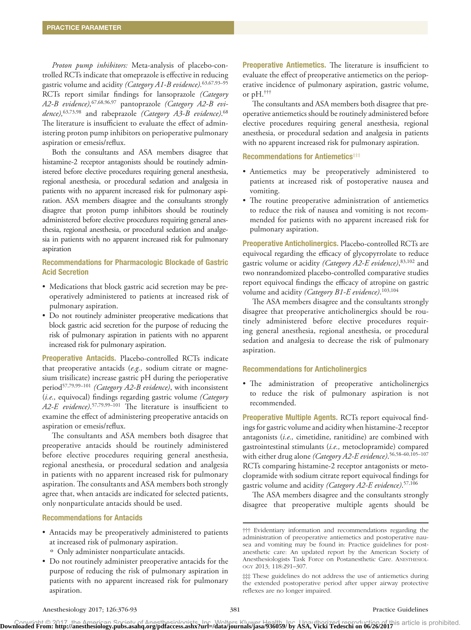*Proton pump inhibitors:* Meta-analysis of placebo-controlled RCTs indicate that omeprazole is effective in reducing gastric volume and acidity *(Category A1-B evidence).*63,67,93–95 RCTs report similar findings for lansoprazole *(Category A2-B evidence),*67,68,96,97 pantoprazole *(Category A2-B evidence),*63,73,98 and rabeprazole *(Category A3-B evidence)*. 68 The literature is insufficient to evaluate the effect of administering proton pump inhibitors on perioperative pulmonary aspiration or emesis/reflux.

Both the consultants and ASA members disagree that histamine-2 receptor antagonists should be routinely administered before elective procedures requiring general anesthesia, regional anesthesia, or procedural sedation and analgesia in patients with no apparent increased risk for pulmonary aspiration. ASA members disagree and the consultants strongly disagree that proton pump inhibitors should be routinely administered before elective procedures requiring general anesthesia, regional anesthesia, or procedural sedation and analgesia in patients with no apparent increased risk for pulmonary aspiration

## Recommendations for Pharmacologic Blockade of Gastric Acid Secretion

- Medications that block gastric acid secretion may be preoperatively administered to patients at increased risk of pulmonary aspiration.
- Do not routinely administer preoperative medications that block gastric acid secretion for the purpose of reducing the risk of pulmonary aspiration in patients with no apparent increased risk for pulmonary aspiration.

Preoperative Antacids. Placebo-controlled RCTs indicate that preoperative antacids (*e.g.,* sodium citrate or magnesium trisilicate) increase gastric pH during the perioperative period57,79,99–101 *(Category A2-B evidence)*, with inconsistent (*i.e.,* equivocal) findings regarding gastric volume *(Category A2-E evidence)*. 57,79,99–101 The literature is insufficient to examine the effect of administering preoperative antacids on aspiration or emesis/reflux.

The consultants and ASA members both disagree that preoperative antacids should be routinely administered before elective procedures requiring general anesthesia, regional anesthesia, or procedural sedation and analgesia in patients with no apparent increased risk for pulmonary aspiration. The consultants and ASA members both strongly agree that, when antacids are indicated for selected patients, only nonparticulate antacids should be used.

## Recommendations for Antacids

- Antacids may be preoperatively administered to patients at increased risk of pulmonary aspiration. º Only administer nonparticulate antacids.
- Do not routinely administer preoperative antacids for the purpose of reducing the risk of pulmonary aspiration in patients with no apparent increased risk for pulmonary aspiration.

**Preoperative Antiemetics.** The literature is insufficient to evaluate the effect of preoperative antiemetics on the perioperative incidence of pulmonary aspiration, gastric volume, or pH.†††

The consultants and ASA members both disagree that preoperative antiemetics should be routinely administered before elective procedures requiring general anesthesia, regional anesthesia, or procedural sedation and analgesia in patients with no apparent increased risk for pulmonary aspiration.

#### Recommendations for Antiemetics<sup>###</sup>

- Antiemetics may be preoperatively administered to patients at increased risk of postoperative nausea and vomiting.
- The routine preoperative administration of antiemetics to reduce the risk of nausea and vomiting is not recommended for patients with no apparent increased risk for pulmonary aspiration.

Preoperative Anticholinergics. Placebo-controlled RCTs are equivocal regarding the efficacy of glycopyrrolate to reduce gastric volume or acidity *(Category A2-E evidence)*, 83,102 and two nonrandomized placebo-controlled comparative studies report equivocal findings the efficacy of atropine on gastric volume and acidity *(Category B1-E evidence)*. 103,104

The ASA members disagree and the consultants strongly disagree that preoperative anticholinergics should be routinely administered before elective procedures requiring general anesthesia, regional anesthesia, or procedural sedation and analgesia to decrease the risk of pulmonary aspiration.

#### Recommendations for Anticholinergics

• The administration of preoperative anticholinergics to reduce the risk of pulmonary aspiration is not recommended.

**Preoperative Multiple Agents. RCTs report equivocal find**ings for gastric volume and acidity when histamine-2 receptor antagonists (*i.e.,* cimetidine, ranitidine) are combined with gastrointestinal stimulants (*i.e.,* metoclopramide) compared with either drug alone *(Category A2-E evidence)*. 56,58–60,105–107 RCTs comparing histamine-2 receptor antagonists or metoclopramide with sodium citrate report equivocal findings for gastric volume and acidity *(Category A2-E evidence)*. 57,106

The ASA members disagree and the consultants strongly disagree that preoperative multiple agents should be

<sup>†††</sup> Evidentiary information and recommendations regarding the administration of preoperative antiemetics and postoperative nausea and vomiting may be found in: Practice guidelines for postanesthetic care: An updated report by the American Society of Anesthesiologists Task Force on Postanesthetic Care. ANESTHESIOL-OGY 2013; 118:291–307.

<sup>‡‡‡</sup> These guidelines do not address the use of antiemetics during the extended postoperative period after upper airway protective reflexes are no longer impaired.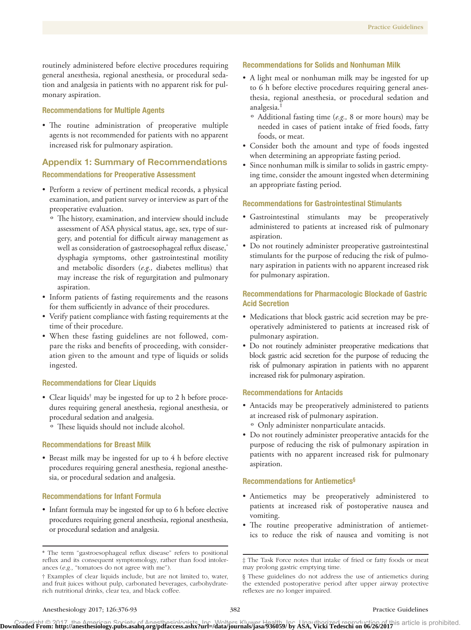routinely administered before elective procedures requiring general anesthesia, regional anesthesia, or procedural sedation and analgesia in patients with no apparent risk for pulmonary aspiration.

#### Recommendations for Multiple Agents

• The routine administration of preoperative multiple agents is not recommended for patients with no apparent increased risk for pulmonary aspiration.

## Appendix 1: Summary of Recommendations Recommendations for Preoperative Assessment

- Perform a review of pertinent medical records, a physical examination, and patient survey or interview as part of the preoperative evaluation.
	- º The history, examination, and interview should include assessment of ASA physical status, age, sex, type of surgery, and potential for difficult airway management as well as consideration of gastroesophageal reflux disease,\* dysphagia symptoms, other gastrointestinal motility and metabolic disorders (*e.g.,* diabetes mellitus) that may increase the risk of regurgitation and pulmonary aspiration.
- Inform patients of fasting requirements and the reasons for them sufficiently in advance of their procedures.
- Verify patient compliance with fasting requirements at the time of their procedure.
- When these fasting guidelines are not followed, compare the risks and benefits of proceeding, with consideration given to the amount and type of liquids or solids ingested.

## Recommendations for Clear Liquids

- Clear liquids<sup>†</sup> may be ingested for up to 2 h before procedures requiring general anesthesia, regional anesthesia, or procedural sedation and analgesia.
	- º These liquids should not include alcohol.

## Recommendations for Breast Milk

• Breast milk may be ingested for up to 4 h before elective procedures requiring general anesthesia, regional anesthesia, or procedural sedation and analgesia.

## Recommendations for Infant Formula

• Infant formula may be ingested for up to 6 h before elective procedures requiring general anesthesia, regional anesthesia, or procedural sedation and analgesia.

## Recommendations for Solids and Nonhuman Milk

- A light meal or nonhuman milk may be ingested for up to 6 h before elective procedures requiring general anesthesia, regional anesthesia, or procedural sedation and analgesia.‡
	- º Additional fasting time (*e.g.,* 8 or more hours) may be needed in cases of patient intake of fried foods, fatty foods, or meat.
- Consider both the amount and type of foods ingested when determining an appropriate fasting period.
- Since nonhuman milk is similar to solids in gastric emptying time, consider the amount ingested when determining an appropriate fasting period.

#### Recommendations for Gastrointestinal Stimulants

- Gastrointestinal stimulants may be preoperatively administered to patients at increased risk of pulmonary aspiration.
- Do not routinely administer preoperative gastrointestinal stimulants for the purpose of reducing the risk of pulmonary aspiration in patients with no apparent increased risk for pulmonary aspiration.

## Recommendations for Pharmacologic Blockade of Gastric Acid Secretion

- Medications that block gastric acid secretion may be preoperatively administered to patients at increased risk of pulmonary aspiration.
- Do not routinely administer preoperative medications that block gastric acid secretion for the purpose of reducing the risk of pulmonary aspiration in patients with no apparent increased risk for pulmonary aspiration.

## Recommendations for Antacids

- Antacids may be preoperatively administered to patients at increased risk of pulmonary aspiration.
	- º Only administer nonparticulate antacids.
- Do not routinely administer preoperative antacids for the purpose of reducing the risk of pulmonary aspiration in patients with no apparent increased risk for pulmonary aspiration.

## Recommendations for Antiemetics§

- Antiemetics may be preoperatively administered to patients at increased risk of postoperative nausea and vomiting.
- The routine preoperative administration of antiemetics to reduce the risk of nausea and vomiting is not

<sup>\*</sup> The term "gastroesophageal reflux disease" refers to positional reflux and its consequent symptomology, rather than food intolerances (*e.g.,* "tomatoes do not agree with me").

<sup>†</sup> Examples of clear liquids include, but are not limited to, water, and fruit juices without pulp, carbonated beverages, carbohydraterich nutritional drinks, clear tea, and black coffee.

<sup>‡</sup> The Task Force notes that intake of fried or fatty foods or meat may prolong gastric emptying time.

<sup>§</sup> These guidelines do not address the use of antiemetics during the extended postoperative period after upper airway protective reflexes are no longer impaired.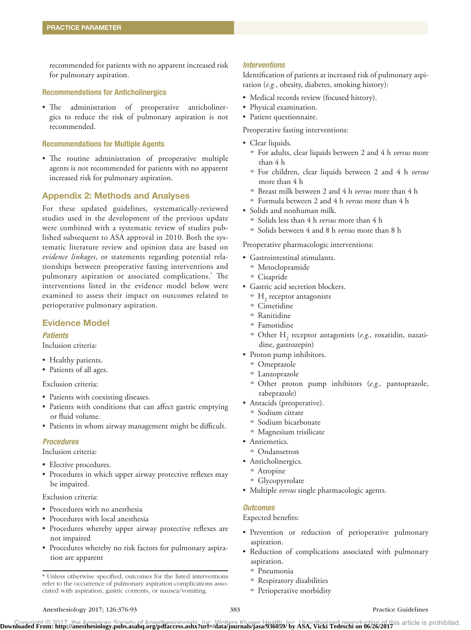recommended for patients with no apparent increased risk for pulmonary aspiration.

## Recommendations for Anticholinergics

• The administration of preoperative anticholinergics to reduce the risk of pulmonary aspiration is not recommended.

## Recommendations for Multiple Agents

• The routine administration of preoperative multiple agents is not recommended for patients with no apparent increased risk for pulmonary aspiration.

## Appendix 2: Methods and Analyses

For these updated guidelines, systematically-reviewed studies used in the development of the previous update were combined with a systematic review of studies published subsequent to ASA approval in 2010. Both the systematic literature review and opinion data are based on *evidence linkages*, or statements regarding potential relationships between preoperative fasting interventions and pulmonary aspiration or associated complications.\* The interventions listed in the evidence model below were examined to assess their impact on outcomes related to perioperative pulmonary aspiration.

## Evidence Model

#### *Patients*

Inclusion criteria:

• Healthy patients.

• Patients of all ages.

Exclusion criteria:

- Patients with coexisting diseases.
- Patients with conditions that can affect gastric emptying or fluid volume.
- Patients in whom airway management might be difficult.

## *Procedures*

Inclusion criteria:

- Elective procedures.
- Procedures in which upper airway protective reflexes may be impaired.

Exclusion criteria:

- Procedures with no anesthesia
- Procedures with local anesthesia
- Procedures whereby upper airway protective reflexes are not impaired
- Procedures whereby no risk factors for pulmonary aspiration are apparent

## *Interventions*

Identification of patients at increased risk of pulmonary aspiration (*e.g.*, obesity, diabetes, smoking history):

- Medical records review (focused history).
- Physical examination.
- Patient questionnaire.

Preoperative fasting interventions:

- Clear liquids.
	- º For adults, clear liquids between 2 and 4 h *versus* more than 4 h
	- º For children, clear liquids between 2 and 4 h *versus* more than 4 h
	- º Breast milk between 2 and 4 h *versus* more than 4 h
	- º Formula between 2 and 4 h *versus* more than 4 h
- Solids and nonhuman milk.
	- º Solids less than 4 h *versus* more than 4 h
	- º Solids between 4 and 8 h *versus* more than 8 h

Preoperative pharmacologic interventions:

- Gastrointestinal stimulants.
	- º Metoclopramide
	- º Cisapride
- Gastric acid secretion blockers.
	- $\rm^{\circ}$  H<sub>2</sub> receptor antagonists
	- º Cimetidine
	- º Ranitidine
	- º Famotidine
	- <sup>o</sup> Other H<sub>2</sub> receptor antagonists (*e.g.*, roxatidin, nazatidine, gastrozepin)
- Proton pump inhibitors.
	- º Omeprazole
	- º Lanzoprazole
	- º Other proton pump inhibitors (*e.g.,* pantoprazole, rabeprazole)
- Antacids (preoperative).
	- º Sodium citrate
	- º Sodium bicarbonate
	- º Magnesium trisilicate
- Antiemetics.
	- º Ondansetron
- Anticholinergics.
	- º Atropine
	- º Glycopyrrolate
- Multiple *versus* single pharmacologic agents.

## *Outcomes*

Expected benefits:

- Prevention or reduction of perioperative pulmonary aspiration.
- Reduction of complications associated with pulmonary aspiration.
	- º Pneumonia
	- º Respiratory disabilities
	- º Perioperative morbidity

<sup>\*</sup> Unless otherwise specified, outcomes for the listed interventions refer to the occurrence of pulmonary aspiration complications associated with aspiration, gastric contents, or nausea/vomiting.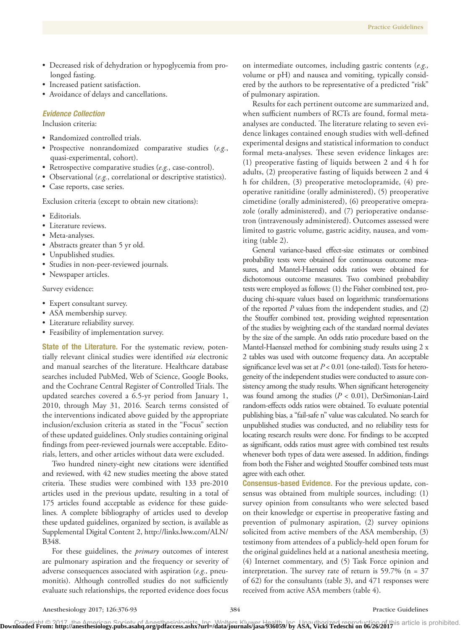- Decreased risk of dehydration or hypoglycemia from prolonged fasting.
- Increased patient satisfaction.
- Avoidance of delays and cancellations.

## *Evidence Collection*

Inclusion criteria:

- Randomized controlled trials.
- Prospective nonrandomized comparative studies (*e.g.*, quasi-experimental, cohort).
- Retrospective comparative studies (*e.g.*, case-control).
- Observational (*e.g.*, correlational or descriptive statistics).
- Case reports, case series.

Exclusion criteria (except to obtain new citations):

- Editorials.
- Literature reviews.
- Meta-analyses.
- Abstracts greater than 5 yr old.
- Unpublished studies.
- Studies in non-peer-reviewed journals.
- Newspaper articles.

Survey evidence:

- Expert consultant survey.
- ASA membership survey.
- Literature reliability survey.
- Feasibility of implementation survey.

State of the Literature. For the systematic review, potentially relevant clinical studies were identified *via* electronic and manual searches of the literature. Healthcare database searches included PubMed, Web of Science, Google Books, and the Cochrane Central Register of Controlled Trials. The updated searches covered a 6.5-yr period from January 1, 2010, through May 31, 2016. Search terms consisted of the interventions indicated above guided by the appropriate inclusion/exclusion criteria as stated in the "Focus" section of these updated guidelines. Only studies containing original findings from peer-reviewed journals were acceptable. Editorials, letters, and other articles without data were excluded.

Two hundred ninety-eight new citations were identified and reviewed, with 42 new studies meeting the above stated criteria. These studies were combined with 133 pre-2010 articles used in the previous update, resulting in a total of 175 articles found acceptable as evidence for these guidelines. A complete bibliography of articles used to develop these updated guidelines, organized by section, is available as Supplemental Digital Content 2, http://links.lww.com/ALN/ B348.

For these guidelines, the *primary* outcomes of interest are pulmonary aspiration and the frequency or severity of adverse consequences associated with aspiration (*e.g.,* pneumonitis). Although controlled studies do not sufficiently evaluate such relationships, the reported evidence does focus

on intermediate outcomes, including gastric contents (*e.g.,* volume or pH) and nausea and vomiting, typically considered by the authors to be representative of a predicted "risk" of pulmonary aspiration.

Results for each pertinent outcome are summarized and, when sufficient numbers of RCTs are found, formal metaanalyses are conducted. The literature relating to seven evidence linkages contained enough studies with well-defined experimental designs and statistical information to conduct formal meta-analyses. These seven evidence linkages are: (1) preoperative fasting of liquids between 2 and 4 h for adults, (2) preoperative fasting of liquids between 2 and 4 h for children, (3) preoperative metoclopramide, (4) preoperative ranitidine (orally administered), (5) preoperative cimetidine (orally administered), (6) preoperative omeprazole (orally administered), and (7) perioperative ondansetron (intravenously administered). Outcomes assessed were limited to gastric volume, gastric acidity, nausea, and vomiting (table 2).

General variance-based effect-size estimates or combined probability tests were obtained for continuous outcome measures, and Mantel-Haenszel odds ratios were obtained for dichotomous outcome measures. Two combined probability tests were employed as follows: (1) the Fisher combined test, producing chi-square values based on logarithmic transformations of the reported *P* values from the independent studies, and (2) the Stouffer combined test, providing weighted representation of the studies by weighting each of the standard normal deviates by the size of the sample. An odds ratio procedure based on the Mantel-Haenszel method for combining study results using 2 x 2 tables was used with outcome frequency data. An acceptable significance level was set at *P* < 0.01 (one-tailed). Tests for heterogeneity of the independent studies were conducted to assure consistency among the study results. When significant heterogeneity was found among the studies (*P* < 0.01), DerSimonian-Laird random-effects odds ratios were obtained. To evaluate potential publishing bias, a "fail-safe n" value was calculated. No search for unpublished studies was conducted, and no reliability tests for locating research results were done. For findings to be accepted as significant, odds ratios must agree with combined test results whenever both types of data were assessed. In addition, findings from both the Fisher and weighted Stouffer combined tests must agree with each other.

**Consensus-based Evidence.** For the previous update, consensus was obtained from multiple sources, including: (1) survey opinion from consultants who were selected based on their knowledge or expertise in preoperative fasting and prevention of pulmonary aspiration, (2) survey opinions solicited from active members of the ASA membership, (3) testimony from attendees of a publicly-held open forum for the original guidelines held at a national anesthesia meeting, (4) Internet commentary, and (5) Task Force opinion and interpretation. The survey rate of return is 59.7% ( $n = 37$ ) of 62) for the consultants (table 3), and 471 responses were received from active ASA members (table 4).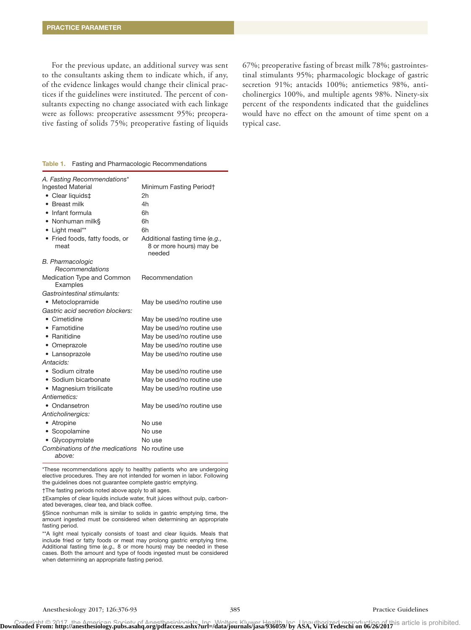For the previous update, an additional survey was sent to the consultants asking them to indicate which, if any, of the evidence linkages would change their clinical practices if the guidelines were instituted. The percent of consultants expecting no change associated with each linkage were as follows: preoperative assessment 95%; preoperative fasting of solids 75%; preoperative fasting of liquids 67%; preoperative fasting of breast milk 78%; gastrointestinal stimulants 95%; pharmacologic blockage of gastric secretion 91%; antacids 100%; antiemetics 98%, anticholinergics 100%, and multiple agents 98%. Ninety-six percent of the respondents indicated that the guidelines would have no effect on the amount of time spent on a typical case.

#### Table 1. Fasting and Pharmacologic Recommendations

| A. Fasting Recommendations*               |                                                                     |
|-------------------------------------------|---------------------------------------------------------------------|
| Ingested Material                         | Minimum Fasting Period†                                             |
| • Clear liquids‡                          | 2h                                                                  |
| <b>Breast milk</b>                        | 4h                                                                  |
| • Infant formula                          | 6h                                                                  |
| • Nonhuman milk§                          | 6h                                                                  |
| • Light meal**                            | 6h                                                                  |
| • Fried foods, fatty foods, or<br>meat    | Additional fasting time (e.g.,<br>8 or more hours) may be<br>needed |
| B. Pharmacologic<br>Recommendations       |                                                                     |
| Medication Type and Common<br>Examples    | Recommendation                                                      |
| Gastrointestinal stimulants:              |                                                                     |
| • Metoclopramide                          | May be used/no routine use                                          |
| Gastric acid secretion blockers:          |                                                                     |
| • Cimetidine                              | May be used/no routine use                                          |
| • Famotidine                              | May be used/no routine use                                          |
| • Ranitidine                              | May be used/no routine use                                          |
| • Omeprazole                              | May be used/no routine use                                          |
| • Lansoprazole                            | May be used/no routine use                                          |
| Antacids:                                 |                                                                     |
| • Sodium citrate                          | May be used/no routine use                                          |
| • Sodium bicarbonate                      | May be used/no routine use                                          |
| • Magnesium trisilicate                   | May be used/no routine use                                          |
| Antiemetics:                              |                                                                     |
| • Ondansetron                             | May be used/no routine use                                          |
| Anticholinergics:                         |                                                                     |
| • Atropine                                | No use                                                              |
| • Scopolamine                             | No use                                                              |
| • Glycopyrrolate                          | No use                                                              |
| Combinations of the medications<br>above: | No routine use                                                      |

\*These recommendations apply to healthy patients who are undergoing elective procedures. They are not intended for women in labor. Following the guidelines does not guarantee complete gastric emptying.

†The fasting periods noted above apply to all ages.

‡Examples of clear liquids include water, fruit juices without pulp, carbonated beverages, clear tea, and black coffee.

§Since nonhuman milk is similar to solids in gastric emptying time, the amount ingested must be considered when determining an appropriate fasting period.

\*\*A light meal typically consists of toast and clear liquids. Meals that include fried or fatty foods or meat may prolong gastric emptying time. Additional fasting time (*e.g.,* 8 or more hours) may be needed in these cases. Both the amount and type of foods ingested must be considered when determining an appropriate fasting period.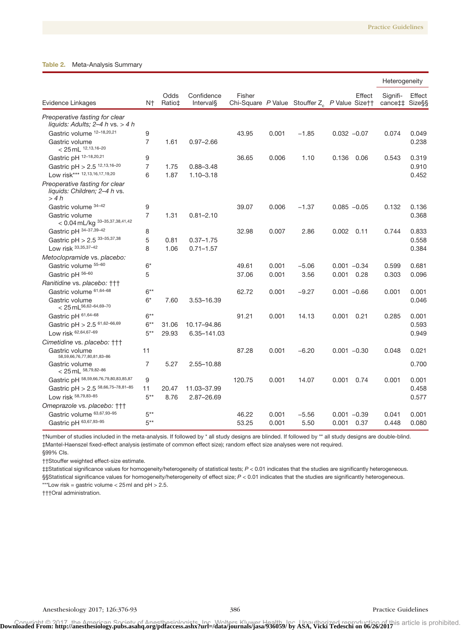#### Table 2. Meta-Analysis Summary

|                                                                        |                |                |                         |        |       | Heterogeneity |                                                                     |                            |        |
|------------------------------------------------------------------------|----------------|----------------|-------------------------|--------|-------|---------------|---------------------------------------------------------------------|----------------------------|--------|
| Evidence Linkages                                                      | N†             | Odds<br>Ratio‡ | Confidence<br>Interval§ | Fisher |       |               | Effect<br>Chi-Square P Value Stouffer Z <sub>c</sub> P Value Sizett | Signifi-<br>cancett Size§§ | Effect |
| Preoperative fasting for clear<br>liquids: Adults; 2–4 h vs. $>$ 4 h   |                |                |                         |        |       |               |                                                                     |                            |        |
| Gastric volume 12-18,20,21                                             | 9              |                |                         | 43.95  | 0.001 | $-1.85$       | $0.032 -0.07$                                                       | 0.074                      | 0.049  |
| Gastric volume<br>$< 25$ mL $^{12,13,16-20}$                           | 7              | 1.61           | $0.97 - 2.66$           |        |       |               |                                                                     |                            | 0.238  |
| Gastric pH 12-18,20,21                                                 | 9              |                |                         | 36.65  | 0.006 | 1.10          | 0.136<br>0.06                                                       | 0.543                      | 0.319  |
| Gastric pH > 2.5 12,13,16-20                                           | $\overline{7}$ | 1.75           | $0.88 - 3.48$           |        |       |               |                                                                     |                            | 0.910  |
| Low risk *** 12,13,16,17,19,20                                         | 6              | 1.87           | $1.10 - 3.18$           |        |       |               |                                                                     |                            | 0.452  |
| Preoperative fasting for clear<br>liquids: Children; 2–4 h vs.<br>> 4h |                |                |                         |        |       |               |                                                                     |                            |        |
| Gastric volume 34-42                                                   | 9              |                |                         | 39.07  | 0.006 | $-1.37$       | $0.085 - 0.05$                                                      | 0.132                      | 0.136  |
| Gastric volume<br>$< 0.04$ mL/kg 33-35,37,38,41,42                     | $\overline{7}$ | 1.31           | $0.81 - 2.10$           |        |       |               |                                                                     |                            | 0.368  |
| Gastric pH 34-37,39-42                                                 | 8              |                |                         | 32.98  | 0.007 | 2.86          | 0.002<br>0.11                                                       | 0.744                      | 0.833  |
| Gastric pH > 2.5 33-35,37,38                                           | 5              | 0.81           | $0.37 - 1.75$           |        |       |               |                                                                     |                            | 0.558  |
| Low risk 33,35,37-42                                                   | 8              | 1.06           | $0.71 - 1.57$           |        |       |               |                                                                     |                            | 0.384  |
| Metoclopramide vs. placebo:                                            |                |                |                         |        |       |               |                                                                     |                            |        |
| Gastric volume 55-60                                                   | $6*$           |                |                         | 49.61  | 0.001 | $-5.06$       | $0.001 - 0.34$                                                      | 0.599                      | 0.681  |
| Gastric pH 56-60                                                       | 5              |                |                         | 37.06  | 0.001 | 3.56          | 0.001<br>0.28                                                       | 0.303                      | 0.096  |
| Ranitidine vs. placebo: †††                                            |                |                |                         |        |       |               |                                                                     |                            |        |
| Gastric volume 61,64-68                                                | $6***$         |                |                         | 62.72  | 0.001 | $-9.27$       | $0.001 - 0.66$                                                      | 0.001                      | 0.001  |
| Gastric volume<br>$< 25$ mL <sup>56,62-64,69-70</sup>                  | $6*$           | 7.60           | 3.53-16.39              |        |       |               |                                                                     |                            | 0.046  |
| Gastric pH 61,64-68                                                    | $6***$         |                |                         | 91.21  | 0.001 | 14.13         | 0.001<br>0.21                                                       | 0.285                      | 0.001  |
| Gastric pH > 2.5 61,62-66,69                                           | $6***$         | 31.06          | 10.17-94.86             |        |       |               |                                                                     |                            | 0.593  |
| Low risk 62,64,67-69                                                   | $5***$         | 29.93          | 6.35-141.03             |        |       |               |                                                                     |                            | 0.949  |
| Cimetidine vs. placebo: †††                                            |                |                |                         |        |       |               |                                                                     |                            |        |
| Gastric volume<br>58,59,66,76,77,80,81,83-86                           | 11             |                |                         | 87.28  | 0.001 | $-6.20$       | $0.001 - 0.30$                                                      | 0.048                      | 0.021  |
| Gastric volume<br>$< 25$ mL $^{58,79,82-86}$                           | $\overline{7}$ | 5.27           | 2.55-10.88              |        |       |               |                                                                     |                            | 0.700  |
| Gastric pH 58,59,66,76,79,80,83,85,87                                  | 9              |                |                         | 120.75 | 0.001 | 14.07         | 0.001<br>0.74                                                       | 0.001                      | 0.001  |
| Gastric pH > 2.5 58,66,75-78,81-85                                     | 11             | 20.47          | 11.03-37.99             |        |       |               |                                                                     |                            | 0.458  |
| Low risk 58,79,83-85                                                   | $5***$         | 8.76           | 2.87-26.69              |        |       |               |                                                                     |                            | 0.577  |
| Omeprazole vs. placebo: †††                                            |                |                |                         |        |       |               |                                                                     |                            |        |
| Gastric volume 63,67,93-95                                             | $5***$         |                |                         | 46.22  | 0.001 | $-5.56$       | $0.001 - 0.39$                                                      | 0.041                      | 0.001  |
| Gastric pH 63,67,93-95                                                 | $5***$         |                |                         | 53.25  | 0.001 | 5.50          | $0.001$ 0.37                                                        | 0.448                      | 0.080  |

†Number of studies included in the meta-analysis. If followed by \* all study designs are blinded. If followed by \*\* all study designs are double-blind. ‡Mantel-Haenszel fixed-effect analysis (estimate of common effect size); random effect size analyses were not required. §99% CIs.

††Stouffer weighted effect-size estimate.

‡‡Statistical significance values for homogeneity/heterogeneity of statistical tests; *P* < 0.01 indicates that the studies are significantly heterogeneous. §§Statistical significance values for homogeneity/heterogeneity of effect size;  $P < 0.01$  indicates that the studies are significantly heterogeneous.

\*\*\*Low risk = gastric volume  $<$  25 ml and pH  $>$  2.5.

†††Oral administration.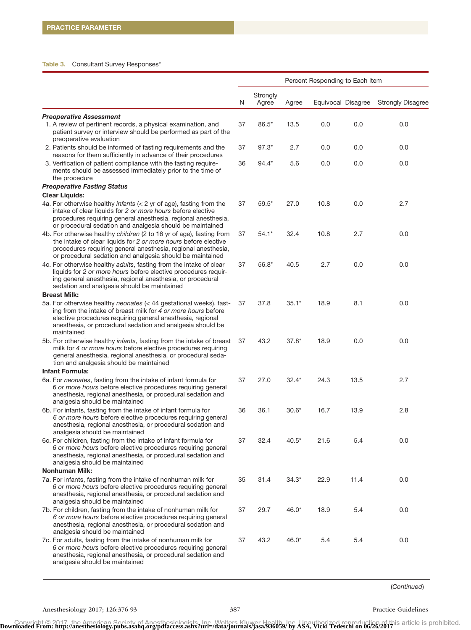## Table 3. Consultant Survey Responses\*

|                                                                                                                                                                                                                                                                               | Percent Responding to Each Item |                   |         |                    |      |                          |
|-------------------------------------------------------------------------------------------------------------------------------------------------------------------------------------------------------------------------------------------------------------------------------|---------------------------------|-------------------|---------|--------------------|------|--------------------------|
|                                                                                                                                                                                                                                                                               | N                               | Strongly<br>Agree | Agree   | Equivocal Disagree |      | <b>Strongly Disagree</b> |
| <b>Preoperative Assessment</b>                                                                                                                                                                                                                                                |                                 |                   |         |                    |      |                          |
| 1. A review of pertinent records, a physical examination, and<br>patient survey or interview should be performed as part of the<br>preoperative evaluation                                                                                                                    | 37                              | $86.5*$           | 13.5    | 0.0                | 0.0  | 0.0                      |
| 2. Patients should be informed of fasting requirements and the<br>reasons for them sufficiently in advance of their procedures                                                                                                                                                | 37                              | $97.3*$           | 2.7     | 0.0                | 0.0  | 0.0                      |
| 3. Verification of patient compliance with the fasting require-<br>ments should be assessed immediately prior to the time of<br>the procedure                                                                                                                                 | 36                              | $94.4*$           | 5.6     | 0.0                | 0.0  | 0.0                      |
| <b>Preoperative Fasting Status</b>                                                                                                                                                                                                                                            |                                 |                   |         |                    |      |                          |
| <b>Clear Liquids:</b>                                                                                                                                                                                                                                                         |                                 |                   |         |                    |      |                          |
| 4a. For otherwise healthy <i>infants</i> $(< 2$ yr of age), fasting from the<br>intake of clear liquids for 2 or more hours before elective<br>procedures requiring general anesthesia, regional anesthesia,<br>or procedural sedation and analgesia should be maintained     | 37                              | $59.5*$           | 27.0    | 10.8               | 0.0  | 2.7                      |
| 4b. For otherwise healthy children (2 to 16 yr of age), fasting from<br>the intake of clear liquids for 2 or more hours before elective<br>procedures requiring general anesthesia, regional anesthesia,<br>or procedural sedation and analgesia should be maintained         | 37                              | $54.1*$           | 32.4    | 10.8               | 2.7  | 0.0                      |
| 4c. For otherwise healthy adults, fasting from the intake of clear<br>liquids for 2 or more hours before elective procedures requir-<br>ing general anesthesia, regional anesthesia, or procedural<br>sedation and analgesia should be maintained                             | 37                              | $56.8*$           | 40.5    | 2.7                | 0.0  | 0.0                      |
| <b>Breast Milk:</b>                                                                                                                                                                                                                                                           |                                 |                   |         |                    |      |                          |
| 5a. For otherwise healthy neonates (< 44 gestational weeks), fast-<br>ing from the intake of breast milk for 4 or more hours before<br>elective procedures requiring general anesthesia, regional<br>anesthesia, or procedural sedation and analgesia should be<br>maintained | 37                              | 37.8              | $35.1*$ | 18.9               | 8.1  | 0.0                      |
| 5b. For otherwise healthy infants, fasting from the intake of breast<br>milk for 4 or more hours before elective procedures requiring<br>general anesthesia, regional anesthesia, or procedural seda-<br>tion and analgesia should be maintained                              | 37                              | 43.2              | $37.8*$ | 18.9               | 0.0  | 0.0                      |
| <b>Infant Formula:</b>                                                                                                                                                                                                                                                        |                                 |                   |         |                    |      |                          |
| 6a. For neonates, fasting from the intake of infant formula for<br>6 or more hours before elective procedures requiring general<br>anesthesia, regional anesthesia, or procedural sedation and<br>analgesia should be maintained                                              | 37                              | 27.0              | $32.4*$ | 24.3               | 13.5 | 2.7                      |
| 6b. For infants, fasting from the intake of infant formula for<br>6 or more hours before elective procedures requiring general<br>anesthesia, regional anesthesia, or procedural sedation and<br>analgesia should be maintained                                               | 36                              | 36.1              | $30.6*$ | 16.7               | 13.9 | 2.8                      |
| 6c. For children, fasting from the intake of infant formula for<br>6 or more hours before elective procedures requiring general<br>anesthesia, regional anesthesia, or procedural sedation and<br>analgesia should be maintained                                              | 37                              | 32.4              | $40.5*$ | 21.6               | 5.4  | 0.0                      |
| Nonhuman Milk:                                                                                                                                                                                                                                                                |                                 |                   |         |                    |      |                          |
| 7a. For infants, fasting from the intake of nonhuman milk for<br>6 or more hours before elective procedures requiring general<br>anesthesia, regional anesthesia, or procedural sedation and<br>analgesia should be maintained                                                | 35                              | 31.4              | $34.3*$ | 22.9               | 11.4 | 0.0                      |
| 7b. For children, fasting from the intake of nonhuman milk for<br>6 or more hours before elective procedures requiring general<br>anesthesia, regional anesthesia, or procedural sedation and<br>analgesia should be maintained                                               | 37                              | 29.7              | $46.0*$ | 18.9               | 5.4  | 0.0                      |
| 7c. For adults, fasting from the intake of nonhuman milk for<br>6 or more hours before elective procedures requiring general<br>anesthesia, regional anesthesia, or procedural sedation and<br>analgesia should be maintained                                                 | 37                              | 43.2              | $46.0*$ | 5.4                | 5.4  | 0.0                      |

(*Continued*)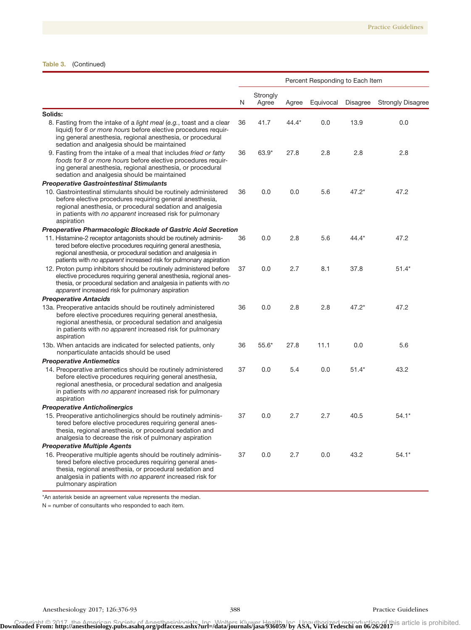## Table 3. (Continued)

|                                                                                                                                                                                                                                                                           | Percent Responding to Each Item |                   |       |           |                 |                          |
|---------------------------------------------------------------------------------------------------------------------------------------------------------------------------------------------------------------------------------------------------------------------------|---------------------------------|-------------------|-------|-----------|-----------------|--------------------------|
|                                                                                                                                                                                                                                                                           | N                               | Strongly<br>Agree | Agree | Equivocal | <b>Disagree</b> | <b>Strongly Disagree</b> |
| Solids:                                                                                                                                                                                                                                                                   |                                 |                   |       |           |                 |                          |
| 8. Fasting from the intake of a light meal (e.g., toast and a clear<br>liquid) for 6 or more hours before elective procedures requir-<br>ing general anesthesia, regional anesthesia, or procedural<br>sedation and analgesia should be maintained                        | 36                              | 41.7              | 44.4* | 0.0       | 13.9            | 0.0                      |
| 9. Fasting from the intake of a meal that includes fried or fatty<br>foods for 8 or more hours before elective procedures requir-<br>ing general anesthesia, regional anesthesia, or procedural<br>sedation and analgesia should be maintained                            | 36                              | $63.9*$           | 27.8  | 2.8       | 2.8             | 2.8                      |
| <b>Preoperative Gastrointestinal Stimulants</b>                                                                                                                                                                                                                           |                                 |                   |       |           |                 |                          |
| 10. Gastrointestinal stimulants should be routinely administered<br>before elective procedures requiring general anesthesia,<br>regional anesthesia, or procedural sedation and analgesia<br>in patients with no apparent increased risk for pulmonary<br>aspiration      | 36                              | 0.0               | 0.0   | 5.6       | $47.2*$         | 47.2                     |
| Preoperative Pharmacologic Blockade of Gastric Acid Secretion                                                                                                                                                                                                             |                                 |                   |       |           |                 |                          |
| 11. Histamine-2 receptor antagonists should be routinely adminis-<br>tered before elective procedures requiring general anesthesia,<br>regional anesthesia, or procedural sedation and analgesia in<br>patients with no apparent increased risk for pulmonary aspiration  | 36                              | 0.0               | 2.8   | 5.6       | $44.4*$         | 47.2                     |
| 12. Proton pump inhibitors should be routinely administered before<br>elective procedures requiring general anesthesia, regional anes-<br>thesia, or procedural sedation and analgesia in patients with no<br>apparent increased risk for pulmonary aspiration            | 37                              | 0.0               | 2.7   | 8.1       | 37.8            | $51.4*$                  |
| <b>Preoperative Antacids</b>                                                                                                                                                                                                                                              |                                 |                   |       |           |                 |                          |
| 13a. Preoperative antacids should be routinely administered<br>before elective procedures requiring general anesthesia,<br>regional anesthesia, or procedural sedation and analgesia<br>in patients with no apparent increased risk for pulmonary<br>aspiration           | 36                              | 0.0               | 2.8   | 2.8       | $47.2*$         | 47.2                     |
| 13b. When antacids are indicated for selected patients, only<br>nonparticulate antacids should be used                                                                                                                                                                    | 36                              | $55.6*$           | 27.8  | 11.1      | 0.0             | 5.6                      |
| <b>Preoperative Antiemetics</b>                                                                                                                                                                                                                                           |                                 |                   |       |           |                 |                          |
| 14. Preoperative antiemetics should be routinely administered<br>before elective procedures requiring general anesthesia,<br>regional anesthesia, or procedural sedation and analgesia<br>in patients with no apparent increased risk for pulmonary<br>aspiration         | 37                              | 0.0               | 5.4   | 0.0       | $51.4*$         | 43.2                     |
| <b>Preoperative Anticholinergics</b>                                                                                                                                                                                                                                      |                                 |                   |       |           |                 |                          |
| 15. Preoperative anticholinergics should be routinely adminis-<br>tered before elective procedures requiring general anes-<br>thesia, regional anesthesia, or procedural sedation and<br>analgesia to decrease the risk of pulmonary aspiration                           | 37                              | 0.0               | 2.7   | 2.7       | 40.5            | $54.1*$                  |
| Preoperative Multiple Agents                                                                                                                                                                                                                                              |                                 |                   |       |           |                 |                          |
| 16. Preoperative multiple agents should be routinely adminis-<br>tered before elective procedures requiring general anes-<br>thesia, regional anesthesia, or procedural sedation and<br>analgesia in patients with no apparent increased risk for<br>pulmonary aspiration | 37                              | 0.0               | 2.7   | 0.0       | 43.2            | $54.1*$                  |

\*An asterisk beside an agreement value represents the median.

N = number of consultants who responded to each item.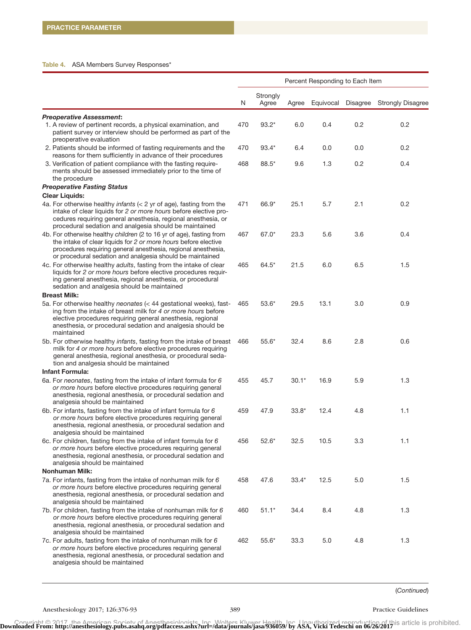## Table 4. ASA Members Survey Responses\*

|                                                                                                                                                                                                                                                                               | Percent Responding to Each Item |                   |         |           |                 |                          |
|-------------------------------------------------------------------------------------------------------------------------------------------------------------------------------------------------------------------------------------------------------------------------------|---------------------------------|-------------------|---------|-----------|-----------------|--------------------------|
|                                                                                                                                                                                                                                                                               | N                               | Strongly<br>Agree | Agree   | Equivocal | <b>Disagree</b> | <b>Strongly Disagree</b> |
| Preoperative Assessment:                                                                                                                                                                                                                                                      |                                 |                   |         |           |                 |                          |
| 1. A review of pertinent records, a physical examination, and<br>patient survey or interview should be performed as part of the<br>preoperative evaluation                                                                                                                    | 470                             | $93.2*$           | 6.0     | 0.4       | 0.2             | 0.2                      |
| 2. Patients should be informed of fasting requirements and the<br>reasons for them sufficiently in advance of their procedures                                                                                                                                                | 470                             | $93.4*$           | 6.4     | 0.0       | 0.0             | 0.2                      |
| 3. Verification of patient compliance with the fasting require-<br>ments should be assessed immediately prior to the time of                                                                                                                                                  | 468                             | $88.5*$           | 9.6     | 1.3       | 0.2             | 0.4                      |
| the procedure<br><b>Preoperative Fasting Status</b>                                                                                                                                                                                                                           |                                 |                   |         |           |                 |                          |
| <b>Clear Liquids:</b>                                                                                                                                                                                                                                                         |                                 |                   |         |           |                 |                          |
| 4a. For otherwise healthy <i>infants</i> (< 2 yr of age), fasting from the<br>intake of clear liquids for 2 or more hours before elective pro-<br>cedures requiring general anesthesia, regional anesthesia, or<br>procedural sedation and analgesia should be maintained     | 471                             | 66.9*             | 25.1    | 5.7       | 2.1             | 0.2                      |
| 4b. For otherwise healthy children (2 to 16 yr of age), fasting from<br>the intake of clear liquids for 2 or more hours before elective<br>procedures requiring general anesthesia, regional anesthesia,<br>or procedural sedation and analgesia should be maintained         | 467                             | 67.0*             | 23.3    | 5.6       | 3.6             | 0.4                      |
| 4c. For otherwise healthy adults, fasting from the intake of clear<br>liquids for 2 or more hours before elective procedures requir-<br>ing general anesthesia, regional anesthesia, or procedural<br>sedation and analgesia should be maintained                             | 465                             | $64.5*$           | 21.5    | 6.0       | 6.5             | 1.5                      |
| <b>Breast Milk:</b>                                                                                                                                                                                                                                                           |                                 |                   |         |           |                 |                          |
| 5a. For otherwise healthy neonates (< 44 gestational weeks), fast-<br>ing from the intake of breast milk for 4 or more hours before<br>elective procedures requiring general anesthesia, regional<br>anesthesia, or procedural sedation and analgesia should be<br>maintained | 465                             | $53.6*$           | 29.5    | 13.1      | 3.0             | 0.9                      |
| 5b. For otherwise healthy infants, fasting from the intake of breast<br>milk for 4 or more hours before elective procedures requiring<br>general anesthesia, regional anesthesia, or procedural seda-<br>tion and analgesia should be maintained                              | 466                             | $55.6*$           | 32.4    | 8.6       | 2.8             | 0.6                      |
| <b>Infant Formula:</b>                                                                                                                                                                                                                                                        |                                 |                   |         |           |                 |                          |
| 6a. For neonates, fasting from the intake of infant formula for 6<br>or more hours before elective procedures requiring general<br>anesthesia, regional anesthesia, or procedural sedation and<br>analgesia should be maintained                                              | 455                             | 45.7              | $30.1*$ | 16.9      | 5.9             | 1.3                      |
| 6b. For infants, fasting from the intake of infant formula for 6<br>or more hours before elective procedures requiring general<br>anesthesia, regional anesthesia, or procedural sedation and<br>analgesia should be maintained                                               | 459                             | 47.9              | $33.8*$ | 12.4      | 4.8             | 1.1                      |
| 6c. For children, fasting from the intake of infant formula for 6<br>or more hours before elective procedures requiring general<br>anesthesia, regional anesthesia, or procedural sedation and<br>analgesia should be maintained                                              | 456                             | $52.6*$           | 32.5    | 10.5      | 3.3             | 1.1                      |
| Nonhuman Milk:                                                                                                                                                                                                                                                                |                                 |                   |         |           |                 |                          |
| 7a. For infants, fasting from the intake of nonhuman milk for 6<br>or more hours before elective procedures requiring general<br>anesthesia, regional anesthesia, or procedural sedation and<br>analgesia should be maintained                                                | 458                             | 47.6              | $33.4*$ | 12.5      | 5.0             | 1.5                      |
| 7b. For children, fasting from the intake of nonhuman milk for 6<br>or more hours before elective procedures requiring general<br>anesthesia, regional anesthesia, or procedural sedation and<br>analgesia should be maintained                                               | 460                             | $51.1*$           | 34.4    | 8.4       | 4.8             | 1.3                      |
| 7c. For adults, fasting from the intake of nonhuman milk for 6<br>or more hours before elective procedures requiring general<br>anesthesia, regional anesthesia, or procedural sedation and<br>analgesia should be maintained                                                 | 462                             | $55.6*$           | 33.3    | 5.0       | 4.8             | 1.3                      |
|                                                                                                                                                                                                                                                                               |                                 |                   |         |           |                 |                          |

Anesthesiology 2017; 126:376-93 389 Practice Guidelines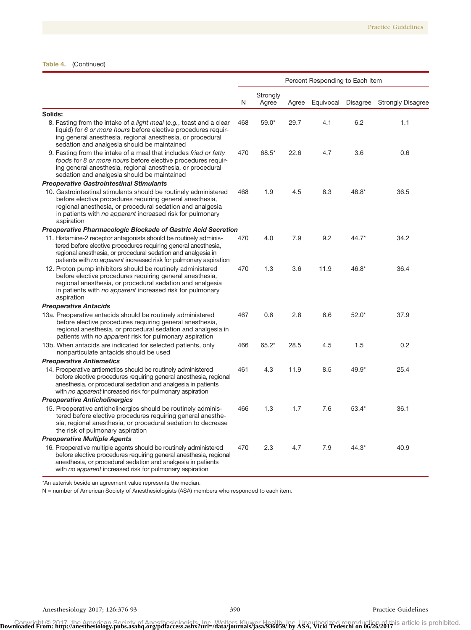## Table 4. (Continued)

|                                                                                                                                                                                                                                                                          | Percent Responding to Each Item |                   |       |           |                 |                          |
|--------------------------------------------------------------------------------------------------------------------------------------------------------------------------------------------------------------------------------------------------------------------------|---------------------------------|-------------------|-------|-----------|-----------------|--------------------------|
|                                                                                                                                                                                                                                                                          | N                               | Strongly<br>Agree | Agree | Equivocal | <b>Disagree</b> | <b>Strongly Disagree</b> |
| Solids:                                                                                                                                                                                                                                                                  |                                 |                   |       |           |                 |                          |
| 8. Fasting from the intake of a light meal (e.g., toast and a clear<br>liquid) for 6 or more hours before elective procedures requir-<br>ing general anesthesia, regional anesthesia, or procedural<br>sedation and analgesia should be maintained                       | 468                             | $59.0*$           | 29.7  | 4.1       | 6.2             | 1.1                      |
| 9. Fasting from the intake of a meal that includes fried or fatty<br>foods for 8 or more hours before elective procedures requir-<br>ing general anesthesia, regional anesthesia, or procedural<br>sedation and analgesia should be maintained                           | 470                             | 68.5*             | 22.6  | 4.7       | 3.6             | 0.6                      |
| <b>Preoperative Gastrointestinal Stimulants</b>                                                                                                                                                                                                                          |                                 |                   |       |           |                 |                          |
| 10. Gastrointestinal stimulants should be routinely administered<br>before elective procedures requiring general anesthesia,<br>regional anesthesia, or procedural sedation and analgesia<br>in patients with no apparent increased risk for pulmonary<br>aspiration     | 468                             | 1.9               | 4.5   | 8.3       | 48.8*           | 36.5                     |
| Preoperative Pharmacologic Blockade of Gastric Acid Secretion                                                                                                                                                                                                            |                                 |                   |       |           |                 |                          |
| 11. Histamine-2 receptor antagonists should be routinely adminis-<br>tered before elective procedures requiring general anesthesia,<br>regional anesthesia, or procedural sedation and analgesia in<br>patients with no apparent increased risk for pulmonary aspiration | 470                             | 4.0               | 7.9   | 9.2       | $44.7*$         | 34.2                     |
| 12. Proton pump inhibitors should be routinely administered<br>before elective procedures requiring general anesthesia,<br>regional anesthesia, or procedural sedation and analgesia<br>in patients with no apparent increased risk for pulmonary<br>aspiration          | 470                             | 1.3               | 3.6   | 11.9      | $46.8*$         | 36.4                     |
| <b>Preoperative Antacids</b>                                                                                                                                                                                                                                             |                                 |                   |       |           |                 |                          |
| 13a. Preoperative antacids should be routinely administered<br>before elective procedures requiring general anesthesia,<br>regional anesthesia, or procedural sedation and analgesia in<br>patients with no apparent risk for pulmonary aspiration                       | 467                             | 0.6               | 2.8   | 6.6       | $52.0*$         | 37.9                     |
| 13b. When antacids are indicated for selected patients, only<br>nonparticulate antacids should be used                                                                                                                                                                   | 466                             | $65.2*$           | 28.5  | 4.5       | 1.5             | 0.2                      |
| <b>Preoperative Antiemetics</b>                                                                                                                                                                                                                                          |                                 |                   |       |           |                 |                          |
| 14. Preoperative antiemetics should be routinely administered<br>before elective procedures requiring general anesthesia, regional<br>anesthesia, or procedural sedation and analgesia in patients<br>with no apparent increased risk for pulmonary aspiration           | 461                             | 4.3               | 11.9  | 8.5       | 49.9*           | 25.4                     |
| <b>Preoperative Anticholinergics</b>                                                                                                                                                                                                                                     |                                 |                   |       |           |                 |                          |
| 15. Preoperative anticholinergics should be routinely adminis-<br>tered before elective procedures requiring general anesthe-<br>sia, regional anesthesia, or procedural sedation to decrease<br>the risk of pulmonary aspiration                                        | 466                             | 1.3               | 1.7   | 7.6       | $53.4*$         | 36.1                     |
| <b>Preoperative Multiple Agents</b>                                                                                                                                                                                                                                      |                                 |                   |       |           |                 |                          |
| 16. Preoperative multiple agents should be routinely administered<br>before elective procedures requiring general anesthesia, regional<br>anesthesia, or procedural sedation and analgesia in patients<br>with no apparent increased risk for pulmonary aspiration       | 470                             | 2.3               | 4.7   | 7.9       | $44.3*$         | 40.9                     |

\*An asterisk beside an agreement value represents the median.

N = number of American Society of Anesthesiologists (ASA) members who responded to each item.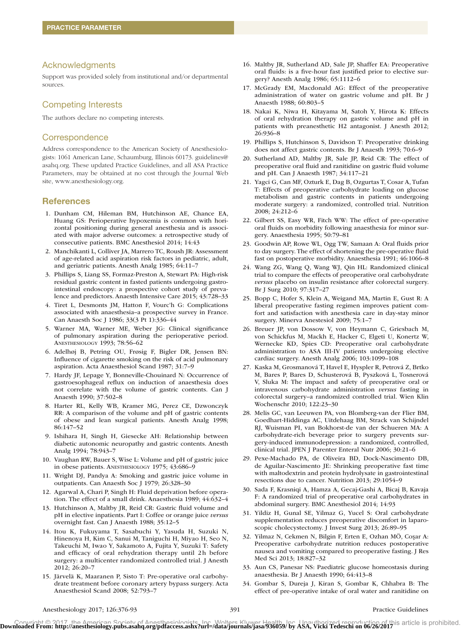## Acknowledgments

Support was provided solely from institutional and/or departmental sources.

#### Competing Interests

The authors declare no competing interests.

## **Correspondence**

Address correspondence to the American Society of Anesthesiologists: 1061 American Lane, Schaumburg, Illinois 60173. [guidelines@](mailto:guidelines@asahq.org) [asahq.org.](mailto:guidelines@asahq.org) These updated Practice Guidelines, and all ASA Practice Parameters, may be obtained at no cost through the Journal Web site, [www.anesthesiology.org](http://www.anesthesiology.org).

#### **References**

- 1. Dunham CM, Hileman BM, Hutchinson AE, Chance EA, Huang GS: Perioperative hypoxemia is common with horizontal positioning during general anesthesia and is associated with major adverse outcomes: a retrospective study of consecutive patients. BMC Anesthesiol 2014; 14:43
- 2. Manchikanti L, Colliver JA, Marrero TC, Roush JR: Assessment of age-related acid aspiration risk factors in pediatric, adult, and geriatric patients. Anesth Analg 1985; 64:11–7
- 3. Phillips S, Liang SS, Formaz-Preston A, Stewart PA: High-risk residual gastric content in fasted patients undergoing gastrointestinal endoscopy: a prospective cohort study of prevalence and predictors. Anaesth Intensive Care 2015; 43:728–33
- 4. Tiret L, Desmonts JM, Hatton F, Vourc'h G: Complications associated with anaesthesia–a prospective survey in France. Can Anaesth Soc J 1986; 33(3 Pt 1):336–44
- 5. Warner MA, Warner ME, Weber JG: Clinical significance of pulmonary aspiration during the perioperative period. ANESTHESIOLOGY 1993; 78:56–62
- 6. Adelhøj B, Petring OU, Frøsig F, Bigler DR, Jensen BN: Influence of cigarette smoking on the risk of acid pulmonary aspiration. Acta Anaesthesiol Scand 1987; 31:7–9
- 7. Hardy JF, Lepage Y, Bonneville-Chouinard N: Occurrence of gastroesophageal reflux on induction of anaesthesia does not correlate with the volume of gastric contents. Can J Anaesth 1990; 37:502–8
- 8. Harter RL, Kelly WB, Kramer MG, Perez CE, Dzwonczyk RR: A comparison of the volume and pH of gastric contents of obese and lean surgical patients. Anesth Analg 1998; 86:147–52
- 9. Ishihara H, Singh H, Giesecke AH: Relationship between diabetic autonomic neuropathy and gastric contents. Anesth Analg 1994; 78:943–7
- 10. Vaughan RW, Bauer S, Wise L: Volume and pH of gastric juice in obese patients. ANESTHESIOLOGY 1975; 43:686–9
- 11. Wright DJ, Pandya A: Smoking and gastric juice volume in outpatients. Can Anaesth Soc J 1979; 26:328–30
- 12. Agarwal A, Chari P, Singh H: Fluid deprivation before operation. The effect of a small drink. Anaesthesia 1989; 44:632–4
- 13. Hutchinson A, Maltby JR, Reid CR: Gastric fluid volume and pH in elective inpatients. Part I: Coffee or orange juice *versus* overnight fast. Can J Anaesth 1988; 35:12–5
- 14. Itou K, Fukuyama T, Sasabuchi Y, Yasuda H, Suzuki N, Hinenoya H, Kim C, Sanui M, Taniguchi H, Miyao H, Seo N, Takeuchi M, Iwao Y, Sakamoto A, Fujita Y, Suzuki T: Safety and efficacy of oral rehydration therapy until 2h before surgery: a multicenter randomized controlled trial. J Anesth 2012; 26:20–7
- 15. Järvelä K, Maaranen P, Sisto T: Pre-operative oral carbohydrate treatment before coronary artery bypass surgery. Acta Anaesthesiol Scand 2008; 52:793–7
- 16. Maltby JR, Sutherland AD, Sale JP, Shaffer EA: Preoperative oral fluids: is a five-hour fast justified prior to elective surgery? Anesth Analg 1986; 65:1112–6
- 17. McGrady EM, Macdonald AG: Effect of the preoperative administration of water on gastric volume and pH. Br J Anaesth 1988; 60:803–5
- 18. Nakai K, Niwa H, Kitayama M, Satoh Y, Hirota K: Effects of oral rehydration therapy on gastric volume and pH in patients with preanesthetic H2 antagonist. J Anesth 2012; 26:936–8
- 19. Phillips S, Hutchinson S, Davidson T: Preoperative drinking does not affect gastric contents. Br J Anaesth 1993; 70:6–9
- 20. Sutherland AD, Maltby JR, Sale JP, Reid CR: The effect of preoperative oral fluid and ranitidine on gastric fluid volume and pH. Can J Anaesth 1987; 34:117–21
- 21. Yagci G, Can MF, Ozturk E, Dag B, Ozgurtas T, Cosar A, Tufan T: Effects of preoperative carbohydrate loading on glucose metabolism and gastric contents in patients undergoing moderate surgery: a randomized, controlled trial. Nutrition 2008; 24:212–6
- 22. Gilbert SS, Easy WR, Fitch WW: The effect of pre-operative oral fluids on morbidity following anaesthesia for minor surgery. Anaesthesia 1995; 50:79–81
- 23. Goodwin AP, Rowe WL, Ogg TW, Samaan A: Oral fluids prior to day surgery. The effect of shortening the pre-operative fluid fast on postoperative morbidity. Anaesthesia 1991; 46:1066–8
- 24. Wang ZG, Wang Q, Wang WJ, Qin HL: Randomized clinical trial to compare the effects of preoperative oral carbohydrate *versus* placebo on insulin resistance after colorectal surgery. Br J Surg 2010; 97:317–27
- 25. Bopp C, Hofer S, Klein A, Weigand MA, Martin E, Gust R: A liberal preoperative fasting regimen improves patient comfort and satisfaction with anesthesia care in day-stay minor surgery. Minerva Anestesiol 2009; 75:1–7
- 26. Breuer JP, von Dossow V, von Heymann C, Griesbach M, von Schickfus M, Mackh E, Hacker C, Elgeti U, Konertz W, Wernecke KD, Spies CD: Preoperative oral carbohydrate administration to ASA III-IV patients undergoing elective cardiac surgery. Anesth Analg 2006; 103:1099–108
- 27. Kaska M, Grosmanová T, Havel E, Hyspler R, Petrová Z, Brtko M, Bares P, Bares D, Schusterová B, Pyszková L, Tosnerová V, Sluka M: The impact and safety of preoperative oral or intravenous carbohydrate administration *versus* fasting in colorectal surgery–a randomized controlled trial. Wien Klin Wochenschr 2010; 122:23–30
- 28. Melis GC, van Leeuwen PA, von Blomberg-van der Flier BM, Goedhart-Hiddinga AC, Uitdehaag BM, Strack van Schijndel RJ, Wuisman PI, van Bokhorst-de van der Schueren MA: A carbohydrate-rich beverage prior to surgery prevents surgery-induced immunodepression: a randomized, controlled, clinical trial. JPEN J Parenter Enteral Nutr 2006; 30:21–6
- 29. Pexe-Machado PA, de Oliveira BD, Dock-Nascimento DB, de Aguilar-Nascimento JE: Shrinking preoperative fast time with maltodextrin and protein hydrolysate in gastrointestinal resections due to cancer. Nutrition 2013; 29:1054–9
- 30. Sada F, Krasniqi A, Hamza A, Gecaj-Gashi A, Bicaj B, Kavaja F: A randomized trial of preoperative oral carbohydrates in abdominal surgery. BMC Anesthesiol 2014; 14:93
- 31. Yildiz H, Gunal SE, Yilmaz G, Yucel S: Oral carbohydrate supplementation reduces preoperative discomfort in laparoscopic cholecystectomy. J Invest Surg 2013; 26:89–95
- 32. Yilmaz N, Cekmen N, Bilgin F, Erten E, Ozhan MÖ, Coşar A: Preoperative carbohydrate nutrition reduces postoperative nausea and vomiting compared to preoperative fasting. J Res Med Sci 2013; 18:827–32
- 33. Aun CS, Panesar NS: Paediatric glucose homeostasis during anaesthesia. Br J Anaesth 1990; 64:413–8
- 34. Gombar S, Dureja J, Kiran S, Gombar K, Chhabra B: The effect of pre-operative intake of oral water and ranitidine on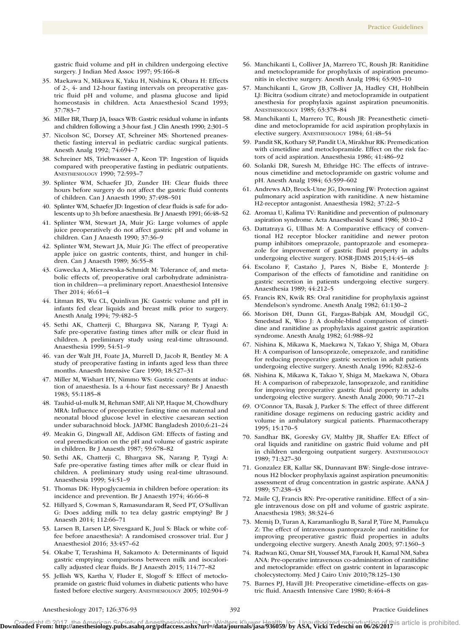gastric fluid volume and pH in children undergoing elective surgery. J Indian Med Assoc 1997; 95:166–8

- 35. Maekawa N, Mikawa K, Yaku H, Nishina K, Obara H: Effects of 2-, 4- and 12-hour fasting intervals on preoperative gastric fluid pH and volume, and plasma glucose and lipid homeostasis in children. Acta Anaesthesiol Scand 1993; 37:783–7
- 36. Miller BR, Tharp JA, Issacs WB: Gastric residual volume in infants and children following a 3-hour fast. J Clin Anesth 1990; 2:301–5
- 37. Nicolson SC, Dorsey AT, Schreiner MS: Shortened preanesthetic fasting interval in pediatric cardiac surgical patients. Anesth Analg 1992; 74:694–7
- 38. Schreiner MS, Triebwasser A, Keon TP: Ingestion of liquids compared with preoperative fasting in pediatric outpatients. ANESTHESIOLOGY 1990; 72:593–7
- 39. Splinter WM, Schaefer JD, Zunder IH: Clear fluids three hours before surgery do not affect the gastric fluid contents of children. Can J Anaesth 1990; 37:498–501
- 40. Splinter WM, Schaefer JD: Ingestion of clear fluids is safe for adolescents up to 3h before anaesthesia. Br J Anaesth 1991; 66:48–52
- 41. Splinter WM, Stewart JA, Muir JG: Large volumes of apple juice preoperatively do not affect gastric pH and volume in children. Can J Anaesth 1990; 37:36–9
- 42. Splinter WM, Stewart JA, Muir JG: The effect of preoperative apple juice on gastric contents, thirst, and hunger in children. Can J Anaesth 1989; 36:55–8
- 43. Gawecka A, Mierzewska-Schmidt M: Tolerance of, and metabolic effects of, preoperative oral carbohydrate administration in children—a preliminary report. Anaesthesiol Intensive Ther 2014; 46:61–4
- 44. Litman RS, Wu CL, Quinlivan JK: Gastric volume and pH in infants fed clear liquids and breast milk prior to surgery. Anesth Analg 1994; 79:482–5
- 45. Sethi AK, Chatterji C, Bhargava SK, Narang P, Tyagi A: Safe pre-operative fasting times after milk or clear fluid in children. A preliminary study using real-time ultrasound. Anaesthesia 1999; 54:51–9
- 46. van der Walt JH, Foate JA, Murrell D, Jacob R, Bentley M: A study of preoperative fasting in infants aged less than three months. Anaesth Intensive Care 1990; 18:527–31
- 47. Miller M, Wishart HY, Nimmo WS: Gastric contents at induction of anaesthesia. Is a 4-hour fast necessary? Br J Anaesth 1983; 55:1185–8
- 48. Tauhid-ul-mulk M, Rehman SMF, Ali NP, Haque M, Chowdhury MRA: Influence of preoperative fasting time on maternal and neonatal blood glucose level in elective caesarean section under subarachnoid block. JAFMC Bangladesh 2010;6:21–24
- 49. Meakin G, Dingwall AE, Addison GM: Effects of fasting and oral premedication on the pH and volume of gastric aspirate in children. Br J Anaesth 1987; 59:678–82
- 50. Sethi AK, Chatterji C, Bhargava SK, Narang P, Tyagi A: Safe pre-operative fasting times after milk or clear fluid in children. A preliminary study using real-time ultrasound. Anaesthesia 1999; 54:51–9
- 51. Thomas DK: Hypoglycaemia in children before operation: its incidence and prevention. Br J Anaesth 1974; 46:66–8
- 52. Hillyard S, Cowman S, Ramasundaram R, Seed PT, O'Sullivan G: Does adding milk to tea delay gastric emptying? Br J Anaesth 2014; 112:66–71
- 53. Larsen B, Larsen LP, Sivesgaard K, Juul S: Black or white coffee before anaesthesia?: A randomised crossover trial. Eur J Anaesthesiol 2016; 33:457–62
- 54. Okabe T, Terashima H, Sakamoto A: Determinants of liquid gastric emptying: comparisons between milk and isocalorically adjusted clear fluids. Br J Anaesth 2015; 114:77–82
- 55. Jellish WS, Kartha V, Fluder E, Slogoff S: Effect of metoclopramide on gastric fluid volumes in diabetic patients who have fasted before elective surgery. ANESTHESIOLOGY 2005; 102:904–9
- 56. Manchikanti L, Colliver JA, Marrero TC, Roush JR: Ranitidine and metoclopramide for prophylaxis of aspiration pneumonitis in elective surgery. Anesth Analg 1984; 63:903–10
- 57. Manchikanti L, Grow JB, Colliver JA, Hadley CH, Hohlbein LJ: Bicitra (sodium citrate) and metoclopramide in outpatient anesthesia for prophylaxis against aspiration pneumonitis. ANESTHESIOLOGY 1985; 63:378–84
- 58. Manchikanti L, Marrero TC, Roush JR: Preanesthetic cimetidine and metoclopramide for acid aspiration prophylaxis in elective surgery. ANESTHESIOLOGY 1984; 61:48–54
- 59. Pandit SK, Kothary SP, Pandit UA, Mirakhur RK: Premedication with cimetidine and metoclopramide. Effect on the risk factors of acid aspiration. Anaesthesia 1986; 41:486–92
- 60. Solanki DR, Suresh M, Ethridge HC: The effects of intravenous cimetidine and metoclopramide on gastric volume and pH. Anesth Analg 1984; 63:599–602
- 61. Andrews AD, Brock-Utne JG, Downing JW: Protection against pulmonary acid aspiration with ranitidine. A new histamine H2-receptor antagonist. Anaesthesia 1982; 37:22–5
- 62. Aromaa U, Kalima TV: Ranitidine and prevention of pulmonary aspiration syndrome. Acta Anaesthesiol Scand 1986; 30:10–2
- 63. Dattatraya G, Ullhas M: A Comparative efficacy of conventional H2 receptor blocker ranitidine and newer proton pump inhibitors omeprazole, pantoprazole and esomeprazole for improvement of gastric fluid property in adults undergoing elective surgery. IOSR-JDMS 2015;14:45–48
- 64. Escolano F, Castaño J, Pares N, Bisbe E, Monterde J: Comparison of the effects of famotidine and ranitidine on gastric secretion in patients undergoing elective surgery. Anaesthesia 1989; 44:212–5
- 65. Francis RN, Kwik RS: Oral ranitidine for prophylaxis against Mendelson's syndrome. Anesth Analg 1982; 61:130–2
- 66. Morison DH, Dunn GL, Fargas-Babjak AM, Moudgil GC, Smedstad K, Woo J: A double-blind comparison of cimetidine and ranitidine as prophylaxis against gastric aspiration syndrome. Anesth Analg 1982; 61:988–92
- 67. Nishina K, Mikawa K, Maekawa N, Takao Y, Shiga M, Obara H: A comparison of lansoprazole, omeprazole, and ranitidine for reducing preoperative gastric secretion in adult patients undergoing elective surgery. Anesth Analg 1996; 82:832–6
- 68. Nishina K, Mikawa K, Takao Y, Shiga M, Maekawa N, Obara H: A comparison of rabeprazole, lansoprazole, and ranitidine for improving preoperative gastric fluid property in adults undergoing elective surgery. Anesth Analg 2000; 90:717–21
- 69. O'Connor TA, Basak J, Parker S: The effect of three different ranitidine dosage regimens on reducing gastric acidity and volume in ambulatory surgical patients. Pharmacotherapy 1995; 15:170–5
- 70. Sandhar BK, Goresky GV, Maltby JR, Shaffer EA: Effect of oral liquids and ranitidine on gastric fluid volume and pH in children undergoing outpatient surgery. ANESTHESIOLOGY 1989; 71:327–30
- 71. Gonzalez ER, Kallar SK, Dunnavant BW: Single-dose intravenous H2 blocker prophylaxis against aspiration pneumonitis: assessment of drug concentration in gastric aspirate. AANA J 1989; 57:238–43
- 72. Maile CJ, Francis RN: Pre-operative ranitidine. Effect of a single intravenous dose on pH and volume of gastric aspirate. Anaesthesia 1983; 38:324–6
- 73. Memiş D, Turan A, Karamanlioglu B, Saral P, Türe M, Pamukçu Z: The effect of intravenous pantoprazole and ranitidine for improving preoperative gastric fluid properties in adults undergoing elective surgery. Anesth Analg 2003; 97:1360–3
- 74. Radwan KG, Omar SH, Youssef MA, Farouk H, Kamal NM, Sabra ANA: Pre-operative intravenous co-administration of ranitidine and metoclopramide: effect on gastric content in laparascopic cholecystectomy. Med J Cairo Univ 2010;78:125–130
- 75. Barnes PJ, Havill JH: Preoperative cimetidine–effects on gastric fluid. Anaesth Intensive Care 1980; 8:464–8